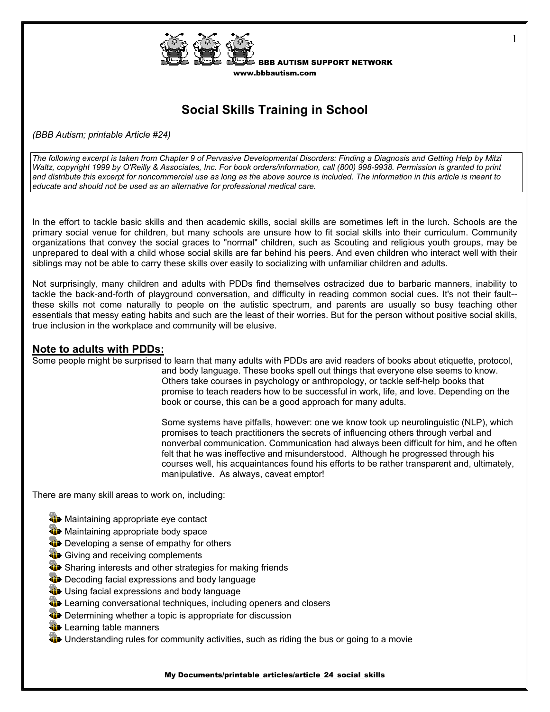

BBB AUTISM SUPPORT NETWORK www.bbbautism.com

1

# **Social Skills Training in School**

*(BBB Autism; printable Article #24)* 

*The following excerpt is taken from Chapter 9 of Pervasive Developmental Disorders: Finding a Diagnosis and Getting Help by Mitzi Waltz, copyright 1999 by O'Reilly & Associates, Inc. For book orders/information, call (800) 998-9938. Permission is granted to print and distribute this excerpt for noncommercial use as long as the above source is included. The information in this article is meant to educate and should not be used as an alternative for professional medical care.* 

In the effort to tackle basic skills and then academic skills, social skills are sometimes left in the lurch. Schools are the primary social venue for children, but many schools are unsure how to fit social skills into their curriculum. Community organizations that convey the social graces to "normal" children, such as Scouting and religious youth groups, may be unprepared to deal with a child whose social skills are far behind his peers. And even children who interact well with their siblings may not be able to carry these skills over easily to socializing with unfamiliar children and adults.

Not surprisingly, many children and adults with PDDs find themselves ostracized due to barbaric manners, inability to tackle the back-and-forth of playground conversation, and difficulty in reading common social cues. It's not their fault- these skills not come naturally to people on the autistic spectrum, and parents are usually so busy teaching other essentials that messy eating habits and such are the least of their worries. But for the person without positive social skills, true inclusion in the workplace and community will be elusive.

**Note to adults with PDDs:**<br>Some people might be surprised to learn that many adults with PDDs are avid readers of books about etiquette, protocol,

and body language. These books spell out things that everyone else seems to know. Others take courses in psychology or anthropology, or tackle self-help books that promise to teach readers how to be successful in work, life, and love. Depending on the book or course, this can be a good approach for many adults.

Some systems have pitfalls, however: one we know took up neurolinguistic (NLP), which promises to teach practitioners the secrets of influencing others through verbal and nonverbal communication. Communication had always been difficult for him, and he often felt that he was ineffective and misunderstood. Although he progressed through his courses well, his acquaintances found his efforts to be rather transparent and, ultimately, manipulative. As always, caveat emptor!

There are many skill areas to work on, including:

- **W** Maintaining appropriate eye contact
- **Waintaining appropriate body space**
- **W** Developing a sense of empathy for others
- **Giving and receiving complements**
- **W** Sharing interests and other strategies for making friends
- **The Decoding facial expressions and body language**
- **Using facial expressions and body language**
- **Learning conversational techniques, including openers and closers**
- **W** Determining whether a topic is appropriate for discussion
- **Learning table manners**
- **Understanding rules for community activities, such as riding the bus or going to a movie**

My Documents/printable\_articles/article\_24\_social\_skills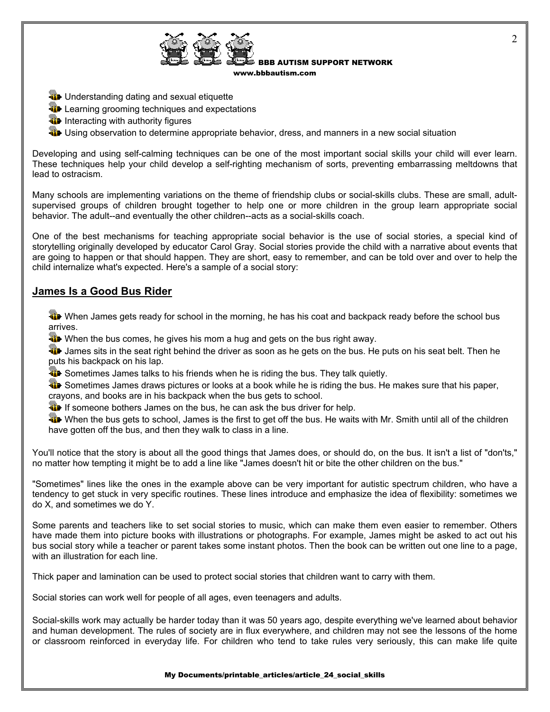

- **T** Understanding dating and sexual etiquette
- **Learning grooming techniques and expectations**
- **II** Interacting with authority figures
- **Using observation to determine appropriate behavior, dress, and manners in a new social situation**

Developing and using self-calming techniques can be one of the most important social skills your child will ever learn. These techniques help your child develop a self-righting mechanism of sorts, preventing embarrassing meltdowns that lead to ostracism.

Many schools are implementing variations on the theme of friendship clubs or social-skills clubs. These are small, adultsupervised groups of children brought together to help one or more children in the group learn appropriate social behavior. The adult--and eventually the other children--acts as a social-skills coach.

One of the best mechanisms for teaching appropriate social behavior is the use of social stories, a special kind of storytelling originally developed by educator Carol Gray. Social stories provide the child with a narrative about events that are going to happen or that should happen. They are short, easy to remember, and can be told over and over to help the child internalize what's expected. Here's a sample of a social story:

## **James Is a Good Bus Rider**

When James gets ready for school in the morning, he has his coat and backpack ready before the school bus arrives.

When the bus comes, he gives his mom a hug and gets on the bus right away.

**The** James sits in the seat right behind the driver as soon as he gets on the bus. He puts on his seat belt. Then he puts his backpack on his lap.

**The Sometimes James talks to his friends when he is riding the bus. They talk quietly.** 

**T** Sometimes James draws pictures or looks at a book while he is riding the bus. He makes sure that his paper, crayons, and books are in his backpack when the bus gets to school.

If someone bothers James on the bus, he can ask the bus driver for help.

When the bus gets to school, James is the first to get off the bus. He waits with Mr. Smith until all of the children have gotten off the bus, and then they walk to class in a line.

You'll notice that the story is about all the good things that James does, or should do, on the bus. It isn't a list of "don'ts," no matter how tempting it might be to add a line like "James doesn't hit or bite the other children on the bus."

"Sometimes" lines like the ones in the example above can be very important for autistic spectrum children, who have a tendency to get stuck in very specific routines. These lines introduce and emphasize the idea of flexibility: sometimes we do X, and sometimes we do Y.

Some parents and teachers like to set social stories to music, which can make them even easier to remember. Others have made them into picture books with illustrations or photographs. For example, James might be asked to act out his bus social story while a teacher or parent takes some instant photos. Then the book can be written out one line to a page, with an illustration for each line.

Thick paper and lamination can be used to protect social stories that children want to carry with them.

Social stories can work well for people of all ages, even teenagers and adults.

Social-skills work may actually be harder today than it was 50 years ago, despite everything we've learned about behavior and human development. The rules of society are in flux everywhere, and children may not see the lessons of the home or classroom reinforced in everyday life. For children who tend to take rules very seriously, this can make life quite

### My Documents/printable\_articles/article\_24\_social\_skills